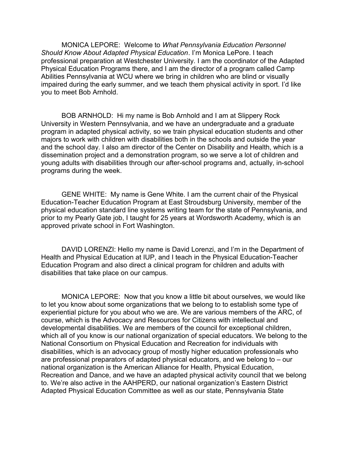MONICA LEPORE: Welcome to *What Pennsylvania Education Personnel Should Know About Adapted Physical Education*. I'm Monica LePore. I teach professional preparation at Westchester University. I am the coordinator of the Adapted Physical Education Programs there, and I am the director of a program called Camp Abilities Pennsylvania at WCU where we bring in children who are blind or visually impaired during the early summer, and we teach them physical activity in sport. I'd like you to meet Bob Arnhold.

BOB ARNHOLD: Hi my name is Bob Arnhold and I am at Slippery Rock University in Western Pennsylvania, and we have an undergraduate and a graduate program in adapted physical activity, so we train physical education students and other majors to work with children with disabilities both in the schools and outside the year and the school day. I also am director of the Center on Disability and Health, which is a dissemination project and a demonstration program, so we serve a lot of children and young adults with disabilities through our after-school programs and, actually, in-school programs during the week.

GENE WHITE: My name is Gene White. I am the current chair of the Physical Education-Teacher Education Program at East Stroudsburg University, member of the physical education standard line systems writing team for the state of Pennsylvania, and prior to my Pearly Gate job, I taught for 25 years at Wordsworth Academy, which is an approved private school in Fort Washington.

DAVID LORENZI: Hello my name is David Lorenzi, and I'm in the Department of Health and Physical Education at IUP, and I teach in the Physical Education-Teacher Education Program and also direct a clinical program for children and adults with disabilities that take place on our campus.

MONICA LEPORE: Now that you know a little bit about ourselves, we would like to let you know about some organizations that we belong to to establish some type of experiential picture for you about who we are. We are various members of the ARC, of course, which is the Advocacy and Resources for Citizens with intellectual and developmental disabilities. We are members of the council for exceptional children, which all of you know is our national organization of special educators. We belong to the National Consortium on Physical Education and Recreation for individuals with disabilities, which is an advocacy group of mostly higher education professionals who are professional preparators of adapted physical educators, and we belong to – our national organization is the American Alliance for Health, Physical Education, Recreation and Dance, and we have an adapted physical activity council that we belong to. We're also active in the AAHPERD, our national organization's Eastern District Adapted Physical Education Committee as well as our state, Pennsylvania State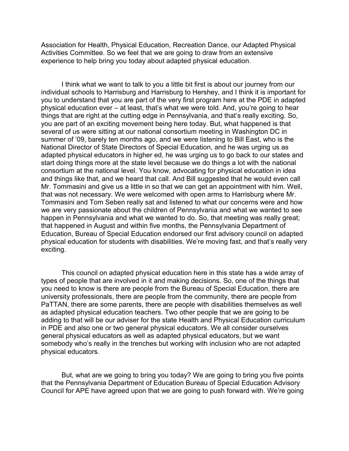Association for Health, Physical Education, Recreation Dance, our Adapted Physical Activities Committee. So we feel that we are going to draw from an extensive experience to help bring you today about adapted physical education.

I think what we want to talk to you a little bit first is about our journey from our individual schools to Harrisburg and Harrisburg to Hershey, and I think it is important for you to understand that you are part of the very first program here at the PDE in adapted physical education ever – at least, that's what we were told. And, you're going to hear things that are right at the cutting edge in Pennsylvania, and that's really exciting. So, you are part of an exciting movement being here today. But, what happened is that several of us were sitting at our national consortium meeting in Washington DC in summer of '09, barely ten months ago, and we were listening to Bill East, who is the National Director of State Directors of Special Education, and he was urging us as adapted physical educators in higher ed, he was urging us to go back to our states and start doing things more at the state level because we do things a lot with the national consortium at the national level. You know, advocating for physical education in idea and things like that, and we heard that call. And Bill suggested that he would even call Mr. Tommasini and give us a little in so that we can get an appointment with him. Well, that was not necessary. We were welcomed with open arms to Harrisburg where Mr. Tommasini and Tom Seben really sat and listened to what our concerns were and how we are very passionate about the children of Pennsylvania and what we wanted to see happen in Pennsylvania and what we wanted to do. So, that meeting was really great; that happened in August and within five months, the Pennsylvania Department of Education, Bureau of Special Education endorsed our first advisory council on adapted physical education for students with disabilities. We're moving fast, and that's really very exciting.

This council on adapted physical education here in this state has a wide array of types of people that are involved in it and making decisions. So, one of the things that you need to know is there are people from the Bureau of Special Education, there are university professionals, there are people from the community, there are people from PaTTAN, there are some parents, there are people with disabilities themselves as well as adapted physical education teachers. Two other people that we are going to be adding to that will be our adviser for the state Health and Physical Education curriculum in PDE and also one or two general physical educators. We all consider ourselves general physical educators as well as adapted physical educators, but we want somebody who's really in the trenches but working with inclusion who are not adapted physical educators.

But, what are we going to bring you today? We are going to bring you five points that the Pennsylvania Department of Education Bureau of Special Education Advisory Council for APE have agreed upon that we are going to push forward with. We're going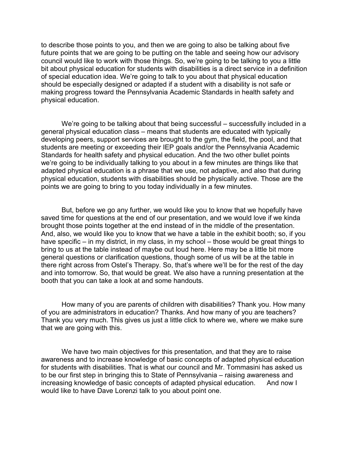to describe those points to you, and then we are going to also be talking about five future points that we are going to be putting on the table and seeing how our advisory council would like to work with those things. So, we're going to be talking to you a little bit about physical education for students with disabilities is a direct service in a definition of special education idea. We're going to talk to you about that physical education should be especially designed or adapted if a student with a disability is not safe or making progress toward the Pennsylvania Academic Standards in health safety and physical education.

We're going to be talking about that being successful – successfully included in a general physical education class – means that students are educated with typically developing peers, support services are brought to the gym, the field, the pool, and that students are meeting or exceeding their IEP goals and/or the Pennsylvania Academic Standards for health safety and physical education. And the two other bullet points we're going to be individually talking to you about in a few minutes are things like that adapted physical education is a phrase that we use, not adaptive, and also that during physical education, students with disabilities should be physically active. Those are the points we are going to bring to you today individually in a few minutes.

But, before we go any further, we would like you to know that we hopefully have saved time for questions at the end of our presentation, and we would love if we kinda brought those points together at the end instead of in the middle of the presentation. And, also, we would like you to know that we have a table in the exhibit booth; so, if you have specific – in my district, in my class, in my school – those would be great things to bring to us at the table instead of maybe out loud here. Here may be a little bit more general questions or clarification questions, though some of us will be at the table in there right across from Ostel's Therapy. So, that's where we'll be for the rest of the day and into tomorrow. So, that would be great. We also have a running presentation at the booth that you can take a look at and some handouts.

How many of you are parents of children with disabilities? Thank you. How many of you are administrators in education? Thanks. And how many of you are teachers? Thank you very much. This gives us just a little click to where we, where we make sure that we are going with this.

We have two main objectives for this presentation, and that they are to raise awareness and to increase knowledge of basic concepts of adapted physical education for students with disabilities. That is what our council and Mr. Tommasini has asked us to be our first step in bringing this to State of Pennsylvania – raising awareness and increasing knowledge of basic concepts of adapted physical education. And now I would like to have Dave Lorenzi talk to you about point one.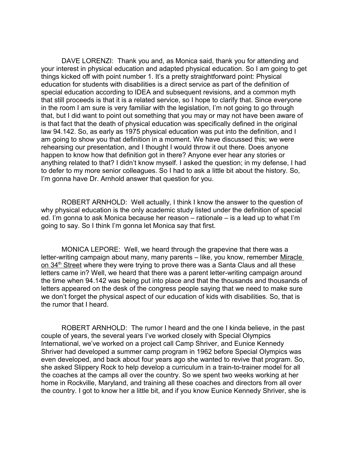DAVE LORENZI: Thank you and, as Monica said, thank you for attending and your interest in physical education and adapted physical education. So I am going to get things kicked off with point number 1. It's a pretty straightforward point: Physical education for students with disabilities is a direct service as part of the definition of special education according to IDEA and subsequent revisions, and a common myth that still proceeds is that it is a related service, so I hope to clarify that. Since everyone in the room I am sure is very familiar with the legislation, I'm not going to go through that, but I did want to point out something that you may or may not have been aware of is that fact that the death of physical education was specifically defined in the original law 94.142. So, as early as 1975 physical education was put into the definition, and I am going to show you that definition in a moment. We have discussed this; we were rehearsing our presentation, and I thought I would throw it out there. Does anyone happen to know how that definition got in there? Anyone ever hear any stories or anything related to that? I didn't know myself. I asked the question; in my defense, I had to defer to my more senior colleagues. So I had to ask a little bit about the history. So, I'm gonna have Dr. Arnhold answer that question for you.

ROBERT ARNHOLD: Well actually, I think I know the answer to the question of why physical education is the only academic study listed under the definition of special ed. I'm gonna to ask Monica because her reason – rationale – is a lead up to what I'm going to say. So I think I'm gonna let Monica say that first.

MONICA LEPORE: Well, we heard through the grapevine that there was a letter-writing campaign about many, many parents – like, you know, remember Miracle on 34<sup>th</sup> Street where they were trying to prove there was a Santa Claus and all these letters came in? Well, we heard that there was a parent letter-writing campaign around the time when 94.142 was being put into place and that the thousands and thousands of letters appeared on the desk of the congress people saying that we need to make sure we don't forget the physical aspect of our education of kids with disabilities. So, that is the rumor that I heard.

ROBERT ARNHOLD: The rumor I heard and the one I kinda believe, in the past couple of years, the several years I've worked closely with Special Olympics International, we've worked on a project call Camp Shriver, and Eunice Kennedy Shriver had developed a summer camp program in 1962 before Special Olympics was even developed, and back about four years ago she wanted to revive that program. So, she asked Slippery Rock to help develop a curriculum in a train-to-trainer model for all the coaches at the camps all over the country. So we spent two weeks working at her home in Rockville, Maryland, and training all these coaches and directors from all over the country. I got to know her a little bit, and if you know Eunice Kennedy Shriver, she is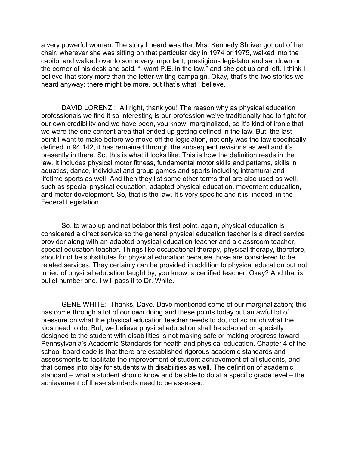a very powerful woman. The story I heard was that Mrs. Kennedy Shriver got out of her chair, wherever she was sitting on that particular day in 1974 or 1975, walked into the capitol and walked over to some very important, prestigious legislator and sat down on the corner of his desk and said, "I want P.E. in the law," and she got up and left. I think I believe that story more than the letter-writing campaign. Okay, that's the two stories we heard anyway; there might be more, but that's what I believe.

DAVID LORENZI: All right, thank you! The reason why as physical education professionals we find it so interesting is our profession we've traditionally had to fight for our own credibility and we have been, you know, marginalized, so it's kind of ironic that we were the one content area that ended up getting defined in the law. But, the last point I want to make before we move off the legislation, not only was the law specifically defined in 94.142, it has remained through the subsequent revisions as well and it's presently in there. So, this is what it looks like. This is how the definition reads in the law. It includes physical motor fitness, fundamental motor skills and patterns, skills in aquatics, dance, individual and group games and sports including intramural and lifetime sports as well. And then they list some other terms that are also used as well, such as special physical education, adapted physical education, movement education, and motor development. So, that is the law. It's very specific and it is, indeed, in the Federal Legislation.

So, to wrap up and not belabor this first point, again, physical education is considered a direct service so the general physical education teacher is a direct service provider along with an adapted physical education teacher and a classroom teacher, special education teacher. Things like occupational therapy, physical therapy, therefore, should not be substitutes for physical education because those are considered to be related services. They certainly can be provided in addition to physical education but not in lieu of physical education taught by, you know, a certified teacher. Okay? And that is bullet number one. I will pass it to Dr. White.

GENE WHITE: Thanks, Dave. Dave mentioned some of our marginalization; this has come through a lot of our own doing and these points today put an awful lot of pressure on what the physical education teacher needs to do, not so much what the kids need to do. But, we believe physical education shall be adapted or specially designed to the student with disabilities is not making safe or making progress toward Pennsylvania's Academic Standards for health and physical education. Chapter 4 of the school board code is that there are established rigorous academic standards and assessments to facilitate the improvement of student achievement of all students, and that comes into play for students with disabilities as well. The definition of academic standard – what a student should know and be able to do at a specific grade level – the achievement of these standards need to be assessed.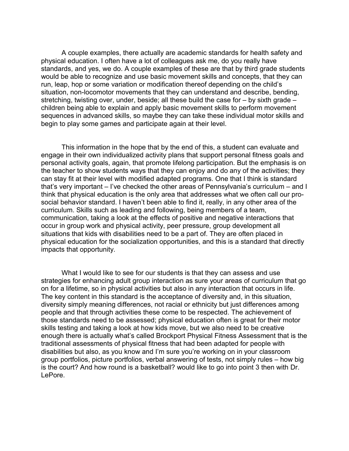A couple examples, there actually are academic standards for health safety and physical education. I often have a lot of colleagues ask me, do you really have standards, and yes, we do. A couple examples of these are that by third grade students would be able to recognize and use basic movement skills and concepts, that they can run, leap, hop or some variation or modification thereof depending on the child's situation, non-locomotor movements that they can understand and describe, bending, stretching, twisting over, under, beside; all these build the case for – by sixth grade – children being able to explain and apply basic movement skills to perform movement sequences in advanced skills, so maybe they can take these individual motor skills and begin to play some games and participate again at their level.

This information in the hope that by the end of this, a student can evaluate and engage in their own individualized activity plans that support personal fitness goals and personal activity goals, again, that promote lifelong participation. But the emphasis is on the teacher to show students ways that they can enjoy and do any of the activities; they can stay fit at their level with modified adapted programs. One that I think is standard that's very important – I've checked the other areas of Pennsylvania's curriculum – and I think that physical education is the only area that addresses what we often call our prosocial behavior standard. I haven't been able to find it, really, in any other area of the curriculum. Skills such as leading and following, being members of a team, communication, taking a look at the effects of positive and negative interactions that occur in group work and physical activity, peer pressure, group development all situations that kids with disabilities need to be a part of. They are often placed in physical education for the socialization opportunities, and this is a standard that directly impacts that opportunity.

What I would like to see for our students is that they can assess and use strategies for enhancing adult group interaction as sure your areas of curriculum that go on for a lifetime, so in physical activities but also in any interaction that occurs in life. The key content in this standard is the acceptance of diversity and, in this situation, diversity simply meaning differences, not racial or ethnicity but just differences among people and that through activities these come to be respected. The achievement of those standards need to be assessed; physical education often is great for their motor skills testing and taking a look at how kids move, but we also need to be creative enough there is actually what's called Brockport Physical Fitness Assessment that is the traditional assessments of physical fitness that had been adapted for people with disabilities but also, as you know and I'm sure you're working on in your classroom group portfolios, picture portfolios, verbal answering of tests, not simply rules – how big is the court? And how round is a basketball? would like to go into point 3 then with Dr. LePore.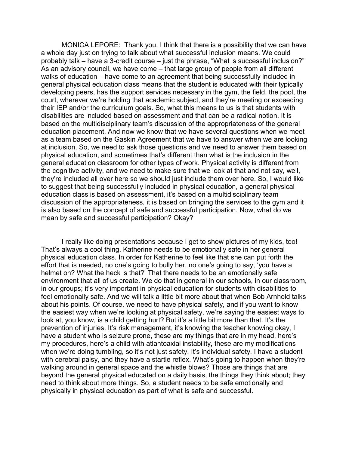MONICA LEPORE: Thank you. I think that there is a possibility that we can have a whole day just on trying to talk about what successful inclusion means. We could probably talk – have a 3-credit course – just the phrase, "What is successful inclusion?" As an advisory council, we have come – that large group of people from all different walks of education – have come to an agreement that being successfully included in general physical education class means that the student is educated with their typically developing peers, has the support services necessary in the gym, the field, the pool, the court, wherever we're holding that academic subject, and they're meeting or exceeding their IEP and/or the curriculum goals. So, what this means to us is that students with disabilities are included based on assessment and that can be a radical notion. It is based on the multidisciplinary team's discussion of the appropriateness of the general education placement. And now we know that we have several questions when we meet as a team based on the Gaskin Agreement that we have to answer when we are looking at inclusion. So, we need to ask those questions and we need to answer them based on physical education, and sometimes that's different than what is the inclusion in the general education classroom for other types of work. Physical activity is different from the cognitive activity, and we need to make sure that we look at that and not say, well, they're included all over here so we should just include them over here. So, I would like to suggest that being successfully included in physical education, a general physical education class is based on assessment, it's based on a multidisciplinary team discussion of the appropriateness, it is based on bringing the services to the gym and it is also based on the concept of safe and successful participation. Now, what do we mean by safe and successful participation? Okay?

I really like doing presentations because I get to show pictures of my kids, too! That's always a cool thing. Katherine needs to be emotionally safe in her general physical education class. In order for Katherine to feel like that she can put forth the effort that is needed, no one's going to bully her, no one's going to say, 'you have a helmet on? What the heck is that?' That there needs to be an emotionally safe environment that all of us create. We do that in general in our schools, in our classroom, in our groups; it's very important in physical education for students with disabilities to feel emotionally safe. And we will talk a little bit more about that when Bob Arnhold talks about his points. Of course, we need to have physical safety, and if you want to know the easiest way when we're looking at physical safety, we're saying the easiest ways to look at, you know, is a child getting hurt? But it's a little bit more than that. It's the prevention of injuries. It's risk management, it's knowing the teacher knowing okay, I have a student who is seizure prone, these are my things that are in my head, here's my procedures, here's a child with atlantoaxial instability, these are my modifications when we're doing tumbling, so it's not just safety. It's individual safety. I have a student with cerebral palsy, and they have a startle reflex. What's going to happen when they're walking around in general space and the whistle blows? Those are things that are beyond the general physical educated on a daily basis, the things they think about; they need to think about more things. So, a student needs to be safe emotionally and physically in physical education as part of what is safe and successful.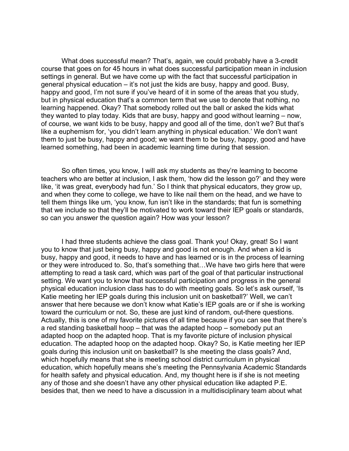What does successful mean? That's, again, we could probably have a 3-credit course that goes on for 45 hours in what does successful participation mean in inclusion settings in general. But we have come up with the fact that successful participation in general physical education – it's not just the kids are busy, happy and good. Busy, happy and good, I'm not sure if you've heard of it in some of the areas that you study, but in physical education that's a common term that we use to denote that nothing, no learning happened. Okay? That somebody rolled out the ball or asked the kids what they wanted to play today. Kids that are busy, happy and good without learning – now, of course, we want kids to be busy, happy and good all of the time, don't we? But that's like a euphemism for, 'you didn't learn anything in physical education.' We don't want them to just be busy, happy and good; we want them to be busy, happy, good and have learned something, had been in academic learning time during that session.

So often times, you know, I will ask my students as they're learning to become teachers who are better at inclusion, I ask them, 'how did the lesson go?' and they were like, 'it was great, everybody had fun.' So I think that physical educators, they grow up, and when they come to college, we have to like nail them on the head, and we have to tell them things like um, 'you know, fun isn't like in the standards; that fun is something that we include so that they'll be motivated to work toward their IEP goals or standards, so can you answer the question again? How was your lesson?

I had three students achieve the class goal. Thank you! Okay, great! So I want you to know that just being busy, happy and good is not enough. And when a kid is busy, happy and good, it needs to have and has learned or is in the process of learning or they were introduced to. So, that's something that…We have two girls here that were attempting to read a task card, which was part of the goal of that particular instructional setting. We want you to know that successful participation and progress in the general physical education inclusion class has to do with meeting goals. So let's ask ourself, 'Is Katie meeting her IEP goals during this inclusion unit on basketball?' Well, we can't answer that here because we don't know what Katie's IEP goals are or if she is working toward the curriculum or not. So, these are just kind of random, out-there questions. Actually, this is one of my favorite pictures of all time because if you can see that there's a red standing basketball hoop – that was the adapted hoop – somebody put an adapted hoop on the adapted hoop. That is my favorite picture of inclusion physical education. The adapted hoop on the adapted hoop. Okay? So, is Katie meeting her IEP goals during this inclusion unit on basketball? Is she meeting the class goals? And, which hopefully means that she is meeting school district curriculum in physical education, which hopefully means she's meeting the Pennsylvania Academic Standards for health safety and physical education. And, my thought here is if she is not meeting any of those and she doesn't have any other physical education like adapted P.E. besides that, then we need to have a discussion in a multidisciplinary team about what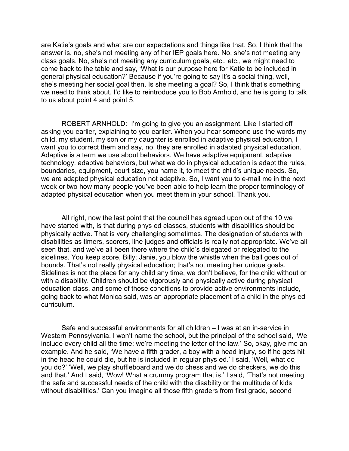are Katie's goals and what are our expectations and things like that. So, I think that the answer is, no, she's not meeting any of her IEP goals here. No, she's not meeting any class goals. No, she's not meeting any curriculum goals, etc., etc., we might need to come back to the table and say, 'What is our purpose here for Katie to be included in general physical education?' Because if you're going to say it's a social thing, well, she's meeting her social goal then. Is she meeting a goal? So, I think that's something we need to think about. I'd like to reintroduce you to Bob Arnhold, and he is going to talk to us about point 4 and point 5.

ROBERT ARNHOLD: I'm going to give you an assignment. Like I started off asking you earlier, explaining to you earlier. When you hear someone use the words my child, my student, my son or my daughter is enrolled in adaptive physical education, I want you to correct them and say, no, they are enrolled in adapted physical education. Adaptive is a term we use about behaviors. We have adaptive equipment, adaptive technology, adaptive behaviors, but what we do in physical education is adapt the rules, boundaries, equipment, court size, you name it, to meet the child's unique needs. So, we are adapted physical education not adaptive. So, I want you to e-mail me in the next week or two how many people you've been able to help learn the proper terminology of adapted physical education when you meet them in your school. Thank you.

All right, now the last point that the council has agreed upon out of the 10 we have started with, is that during phys ed classes, students with disabilities should be physically active. That is very challenging sometimes. The designation of students with disabilities as timers, scorers, line judges and officials is really not appropriate. We've all seen that, and we've all been there where the child's delegated or relegated to the sidelines. You keep score, Billy; Janie, you blow the whistle when the ball goes out of bounds. That's not really physical education; that's not meeting her unique goals. Sidelines is not the place for any child any time, we don't believe, for the child without or with a disability. Children should be vigorously and physically active during physical education class, and some of those conditions to provide active environments include, going back to what Monica said, was an appropriate placement of a child in the phys ed curriculum.

Safe and successful environments for all children – I was at an in-service in Western Pennsylvania. I won't name the school, but the principal of the school said, 'We include every child all the time; we're meeting the letter of the law.' So, okay, give me an example. And he said, 'We have a fifth grader, a boy with a head injury, so if he gets hit in the head he could die, but he is included in regular phys ed.' I said, 'Well, what do you do?' 'Well, we play shuffleboard and we do chess and we do checkers, we do this and that.' And I said, 'Wow! What a crummy program that is.' I said, 'That's not meeting the safe and successful needs of the child with the disability or the multitude of kids without disabilities.' Can you imagine all those fifth graders from first grade, second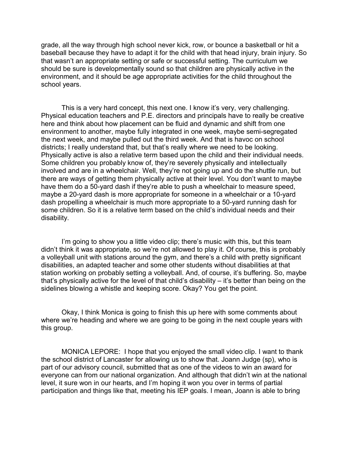grade, all the way through high school never kick, row, or bounce a basketball or hit a baseball because they have to adapt it for the child with that head injury, brain injury. So that wasn't an appropriate setting or safe or successful setting. The curriculum we should be sure is developmentally sound so that children are physically active in the environment, and it should be age appropriate activities for the child throughout the school years.

This is a very hard concept, this next one. I know it's very, very challenging. Physical education teachers and P.E. directors and principals have to really be creative here and think about how placement can be fluid and dynamic and shift from one environment to another, maybe fully integrated in one week, maybe semi-segregated the next week, and maybe pulled out the third week. And that is havoc on school districts; I really understand that, but that's really where we need to be looking. Physically active is also a relative term based upon the child and their individual needs. Some children you probably know of, they're severely physically and intellectually involved and are in a wheelchair. Well, they're not going up and do the shuttle run, but there are ways of getting them physically active at their level. You don't want to maybe have them do a 50-yard dash if they're able to push a wheelchair to measure speed, maybe a 20-yard dash is more appropriate for someone in a wheelchair or a 10-yard dash propelling a wheelchair is much more appropriate to a 50-yard running dash for some children. So it is a relative term based on the child's individual needs and their disability.

I'm going to show you a little video clip; there's music with this, but this team didn't think it was appropriate, so we're not allowed to play it. Of course, this is probably a volleyball unit with stations around the gym, and there's a child with pretty significant disabilities, an adapted teacher and some other students without disabilities at that station working on probably setting a volleyball. And, of course, it's buffering. So, maybe that's physically active for the level of that child's disability – it's better than being on the sidelines blowing a whistle and keeping score. Okay? You get the point.

Okay, I think Monica is going to finish this up here with some comments about where we're heading and where we are going to be going in the next couple years with this group.

MONICA LEPORE: I hope that you enjoyed the small video clip. I want to thank the school district of Lancaster for allowing us to show that. Joann Judge (sp), who is part of our advisory council, submitted that as one of the videos to win an award for everyone can from our national organization. And although that didn't win at the national level, it sure won in our hearts, and I'm hoping it won you over in terms of partial participation and things like that, meeting his IEP goals. I mean, Joann is able to bring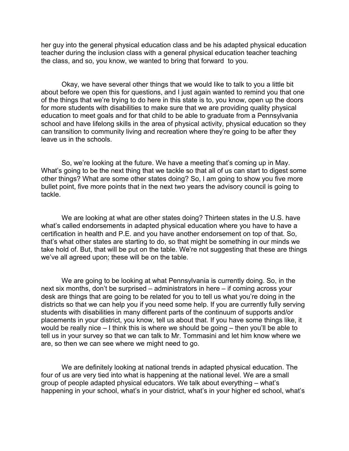her guy into the general physical education class and be his adapted physical education teacher during the inclusion class with a general physical education teacher teaching the class, and so, you know, we wanted to bring that forward to you.

Okay, we have several other things that we would like to talk to you a little bit about before we open this for questions, and I just again wanted to remind you that one of the things that we're trying to do here in this state is to, you know, open up the doors for more students with disabilities to make sure that we are providing quality physical education to meet goals and for that child to be able to graduate from a Pennsylvania school and have lifelong skills in the area of physical activity, physical education so they can transition to community living and recreation where they're going to be after they leave us in the schools.

So, we're looking at the future. We have a meeting that's coming up in May. What's going to be the next thing that we tackle so that all of us can start to digest some other things? What are some other states doing? So, I am going to show you five more bullet point, five more points that in the next two years the advisory council is going to tackle.

We are looking at what are other states doing? Thirteen states in the U.S. have what's called endorsements in adapted physical education where you have to have a certification in health and P.E. and you have another endorsement on top of that. So, that's what other states are starting to do, so that might be something in our minds we take hold of. But, that will be put on the table. We're not suggesting that these are things we've all agreed upon; these will be on the table.

We are going to be looking at what Pennsylvania is currently doing. So, in the next six months, don't be surprised – administrators in here – if coming across your desk are things that are going to be related for you to tell us what you're doing in the districts so that we can help you if you need some help. If you are currently fully serving students with disabilities in many different parts of the continuum of supports and/or placements in your district, you know, tell us about that. If you have some things like, it would be really nice – I think this is where we should be going – then you'll be able to tell us in your survey so that we can talk to Mr. Tommasini and let him know where we are, so then we can see where we might need to go.

We are definitely looking at national trends in adapted physical education. The four of us are very tied into what is happening at the national level. We are a small group of people adapted physical educators. We talk about everything – what's happening in your school, what's in your district, what's in your higher ed school, what's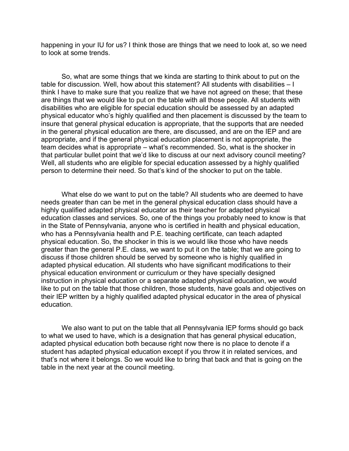happening in your IU for us? I think those are things that we need to look at, so we need to look at some trends.

So, what are some things that we kinda are starting to think about to put on the table for discussion. Well, how about this statement? All students with disabilities – I think I have to make sure that you realize that we have not agreed on these; that these are things that we would like to put on the table with all those people. All students with disabilities who are eligible for special education should be assessed by an adapted physical educator who's highly qualified and then placement is discussed by the team to insure that general physical education is appropriate, that the supports that are needed in the general physical education are there, are discussed, and are on the IEP and are appropriate, and if the general physical education placement is not appropriate, the team decides what is appropriate – what's recommended. So, what is the shocker in that particular bullet point that we'd like to discuss at our next advisory council meeting? Well, all students who are eligible for special education assessed by a highly qualified person to determine their need. So that's kind of the shocker to put on the table.

What else do we want to put on the table? All students who are deemed to have needs greater than can be met in the general physical education class should have a highly qualified adapted physical educator as their teacher for adapted physical education classes and services. So, one of the things you probably need to know is that in the State of Pennsylvania, anyone who is certified in health and physical education, who has a Pennsylvania health and P.E. teaching certificate, can teach adapted physical education. So, the shocker in this is we would like those who have needs greater than the general P.E. class, we want to put it on the table; that we are going to discuss if those children should be served by someone who is highly qualified in adapted physical education. All students who have significant modifications to their physical education environment or curriculum or they have specially designed instruction in physical education or a separate adapted physical education, we would like to put on the table that those children, those students, have goals and objectives on their IEP written by a highly qualified adapted physical educator in the area of physical education.

We also want to put on the table that all Pennsylvania IEP forms should go back to what we used to have, which is a designation that has general physical education, adapted physical education both because right now there is no place to denote if a student has adapted physical education except if you throw it in related services, and that's not where it belongs. So we would like to bring that back and that is going on the table in the next year at the council meeting.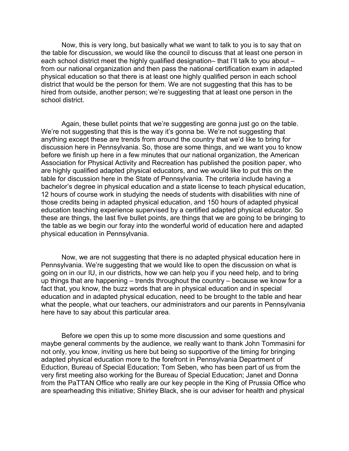Now, this is very long, but basically what we want to talk to you is to say that on the table for discussion, we would like the council to discuss that at least one person in each school district meet the highly qualified designation– that I'll talk to you about – from our national organization and then pass the national certification exam in adapted physical education so that there is at least one highly qualified person in each school district that would be the person for them. We are not suggesting that this has to be hired from outside, another person; we're suggesting that at least one person in the school district.

Again, these bullet points that we're suggesting are gonna just go on the table. We're not suggesting that this is the way it's gonna be. We're not suggesting that anything except these are trends from around the country that we'd like to bring for discussion here in Pennsylvania. So, those are some things, and we want you to know before we finish up here in a few minutes that our national organization, the American Association for Physical Activity and Recreation has published the position paper, who are highly qualified adapted physical educators, and we would like to put this on the table for discussion here in the State of Pennsylvania. The criteria include having a bachelor's degree in physical education and a state license to teach physical education, 12 hours of course work in studying the needs of students with disabilities with nine of those credits being in adapted physical education, and 150 hours of adapted physical education teaching experience supervised by a certified adapted physical educator. So these are things, the last five bullet points, are things that we are going to be bringing to the table as we begin our foray into the wonderful world of education here and adapted physical education in Pennsylvania.

Now, we are not suggesting that there is no adapted physical education here in Pennsylvania. We're suggesting that we would like to open the discussion on what is going on in our IU, in our districts, how we can help you if you need help, and to bring up things that are happening – trends throughout the country – because we know for a fact that, you know, the buzz words that are in physical education and in special education and in adapted physical education, need to be brought to the table and hear what the people, what our teachers, our administrators and our parents in Pennsylvania here have to say about this particular area.

Before we open this up to some more discussion and some questions and maybe general comments by the audience, we really want to thank John Tommasini for not only, you know, inviting us here but being so supportive of the timing for bringing adapted physical education more to the forefront in Pennsylvania Department of Eduction, Bureau of Special Education; Tom Seben, who has been part of us from the very first meeting also working for the Bureau of Special Education; Janet and Donna from the PaTTAN Office who really are our key people in the King of Prussia Office who are spearheading this initiative; Shirley Black, she is our adviser for health and physical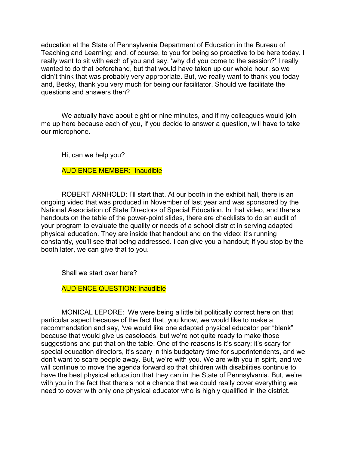education at the State of Pennsylvania Department of Education in the Bureau of Teaching and Learning; and, of course, to you for being so proactive to be here today. I really want to sit with each of you and say, 'why did you come to the session?' I really wanted to do that beforehand, but that would have taken up our whole hour, so we didn't think that was probably very appropriate. But, we really want to thank you today and, Becky, thank you very much for being our facilitator. Should we facilitate the questions and answers then?

We actually have about eight or nine minutes, and if my colleagues would join me up here because each of you, if you decide to answer a question, will have to take our microphone.

Hi, can we help you?

AUDIENCE MEMBER: Inaudible

ROBERT ARNHOLD: I'll start that. At our booth in the exhibit hall, there is an ongoing video that was produced in November of last year and was sponsored by the National Association of State Directors of Special Education. In that video, and there's handouts on the table of the power-point slides, there are checklists to do an audit of your program to evaluate the quality or needs of a school district in serving adapted physical education. They are inside that handout and on the video; it's running constantly, you'll see that being addressed. I can give you a handout; if you stop by the booth later, we can give that to you.

Shall we start over here?

AUDIENCE QUESTION: Inaudible

MONICAL LEPORE: We were being a little bit politically correct here on that particular aspect because of the fact that, you know, we would like to make a recommendation and say, 'we would like one adapted physical educator per "blank" because that would give us caseloads, but we're not quite ready to make those suggestions and put that on the table. One of the reasons is it's scary; it's scary for special education directors, it's scary in this budgetary time for superintendents, and we don't want to scare people away. But, we're with you. We are with you in spirit, and we will continue to move the agenda forward so that children with disabilities continue to have the best physical education that they can in the State of Pennsylvania. But, we're with you in the fact that there's not a chance that we could really cover everything we need to cover with only one physical educator who is highly qualified in the district.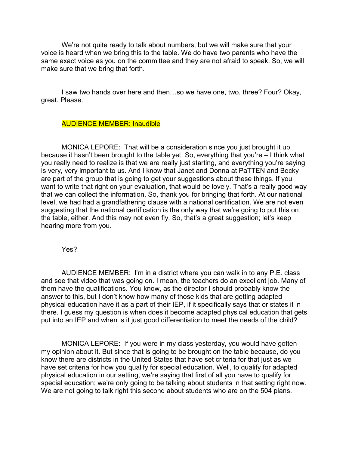We're not quite ready to talk about numbers, but we will make sure that your voice is heard when we bring this to the table. We do have two parents who have the same exact voice as you on the committee and they are not afraid to speak. So, we will make sure that we bring that forth.

I saw two hands over here and then…so we have one, two, three? Four? Okay, great. Please.

## AUDIENCE MEMBER: Inaudible

MONICA LEPORE: That will be a consideration since you just brought it up because it hasn't been brought to the table yet. So, everything that you're – I think what you really need to realize is that we are really just starting, and everything you're saying is very, very important to us. And I know that Janet and Donna at PaTTEN and Becky are part of the group that is going to get your suggestions about these things. If you want to write that right on your evaluation, that would be lovely. That's a really good way that we can collect the information. So, thank you for bringing that forth. At our national level, we had had a grandfathering clause with a national certification. We are not even suggesting that the national certification is the only way that we're going to put this on the table, either. And this may not even fly. So, that's a great suggestion; let's keep hearing more from you.

Yes?

AUDIENCE MEMBER: I'm in a district where you can walk in to any P.E. class and see that video that was going on. I mean, the teachers do an excellent job. Many of them have the qualifications. You know, as the director I should probably know the answer to this, but I don't know how many of those kids that are getting adapted physical education have it as a part of their IEP, if it specifically says that or states it in there. I guess my question is when does it become adapted physical education that gets put into an IEP and when is it just good differentiation to meet the needs of the child?

MONICA LEPORE: If you were in my class yesterday, you would have gotten my opinion about it. But since that is going to be brought on the table because, do you know there are districts in the United States that have set criteria for that just as we have set criteria for how you qualify for special education. Well, to qualify for adapted physical education in our setting, we're saying that first of all you have to qualify for special education; we're only going to be talking about students in that setting right now. We are not going to talk right this second about students who are on the 504 plans.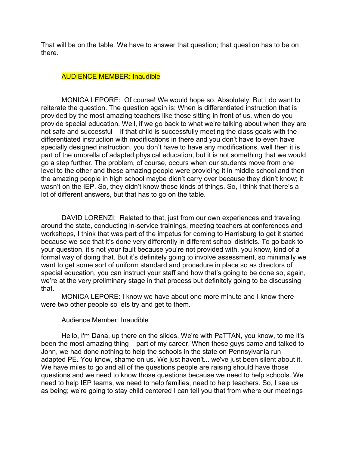That will be on the table. We have to answer that question; that question has to be on there.

## AUDIENCE MEMBER: Inaudible

MONICA LEPORE: Of course! We would hope so. Absolutely. But I do want to reiterate the question. The question again is: When is differentiated instruction that is provided by the most amazing teachers like those sitting in front of us, when do you provide special education. Well, if we go back to what we're talking about when they are not safe and successful – if that child is successfully meeting the class goals with the differentiated instruction with modifications in there and you don't have to even have specially designed instruction, you don't have to have any modifications, well then it is part of the umbrella of adapted physical education, but it is not something that we would go a step further. The problem, of course, occurs when our students move from one level to the other and these amazing people were providing it in middle school and then the amazing people in high school maybe didn't carry over because they didn't know; it wasn't on the IEP. So, they didn't know those kinds of things. So, I think that there's a lot of different answers, but that has to go on the table.

DAVID LORENZI: Related to that, just from our own experiences and traveling around the state, conducting in-service trainings, meeting teachers at conferences and workshops, I think that was part of the impetus for coming to Harrisburg to get it started because we see that it's done very differently in different school districts. To go back to your question, it's not your fault because you're not provided with, you know, kind of a formal way of doing that. But it's definitely going to involve assessment, so minimally we want to get some sort of uniform standard and procedure in place so as directors of special education, you can instruct your staff and how that's going to be done so, again, we're at the very preliminary stage in that process but definitely going to be discussing that.

MONICA LEPORE: I know we have about one more minute and I know there were two other people so lets try and get to them.

## Audience Member: Inaudible

Hello, I'm Dana, up there on the slides. We're with PaTTAN, you know, to me it's been the most amazing thing – part of my career. When these guys came and talked to John, we had done nothing to help the schools in the state on Pennsylvania run adapted PE. You know, shame on us. We just haven't... we've just been silent about it. We have miles to go and all of the questions people are raising should have those questions and we need to know those questions because we need to help schools. We need to help IEP teams, we need to help families, need to help teachers. So, I see us as being; we're going to stay child centered I can tell you that from where our meetings